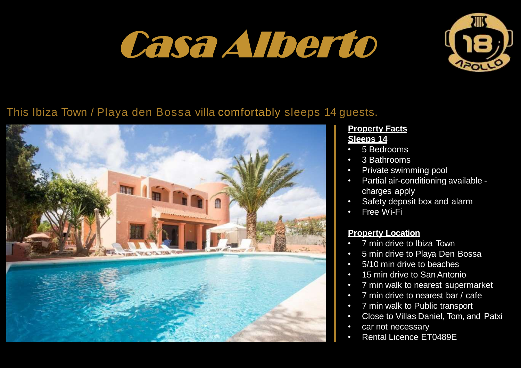# Casa Alberto



# This Ibiza Town / Playa den Bossa villa comfortably sleeps 14 guests.



### **Property Facts Sleeps 14**

- 5 Bedrooms
- 3 Bathrooms
- Private swimming pool
- Partial air-conditioning available charges apply
- Safety deposit box and alarm
- **Free Wi-Fi**

## **Property Location**

- 7 min drive to Ibiza Town
- 5 min drive to Playa Den Bossa
- 5/10 min drive to beaches
- 15 min drive to San Antonio
- 7 min walk to nearest supermarket
- 7 min drive to nearest bar / cafe
- 7 min walk to Public transport
- Close to Villas Daniel, Tom, and Patxi
- car not necessary
- Rental Licence ET0489E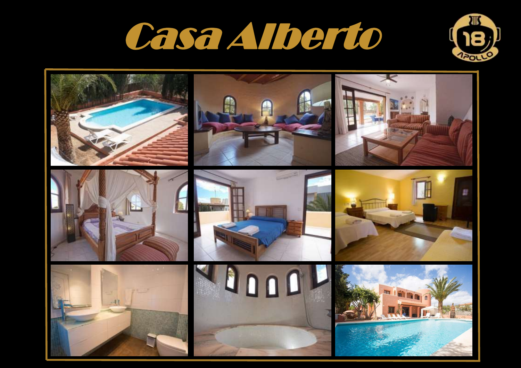



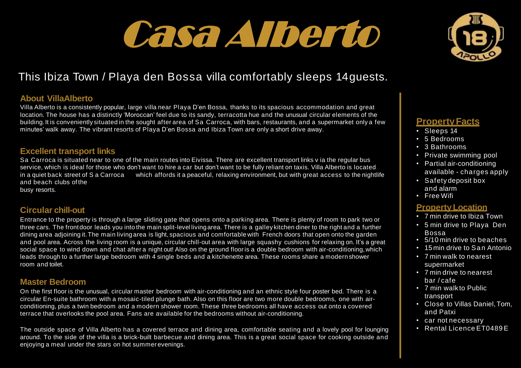# Casa Alberto



# This Ibiza Town / Playa den Bossa villa comfortably sleeps 14guests.

#### **About VillaAlberto**

Villa Alberto is a consistently popular, large villa near Playa D'en Bossa, thanks to its spacious accommodation and great location. The house has a distinctly 'Moroccan' feel due to its sandy, terracotta hue and the unusual circular elements of the building.It is conveniently situated in the sought after area of Sa Carroca, with bars, restaurants, and a supermarket only a few minutes' walk away. The vibrant resorts of Playa D'en Bossa and Ibiza Town are only a short drive away.

#### **Excellent transport links**

Sa Carroca is situated near to one of the main routes into Eivissa. There are excellent transport links v ia the regular bus service, which is ideal for those who don't want to hire a car but don't want to be fully reliant on taxis. Villa Alberto is located in a quiet back street of S a Carroca which affords it a peaceful, relaxing environment, but with great access to the nightlife and beach clubs of the busy resorts.

#### **Circular chill-out**

Entrance to the property is through a large sliding gate that opens onto a parking area. There is plenty of room to park two or three cars. The frontdoor leads you into the main split-level living area. There is a galley kitchen diner to the right and a further dining area adjoining it.The main living area is light, spacious and comfortable with French doors that open onto the garden and pool area. Across the living room is a unique, circular chill-out area with large squashy cushions for relaxing on. It's a great social space to wind down and chat after a night out! Also on the ground flooris a double bedroom with air-conditioning,which leads through to a further large bedroom with 4 single beds and a kitchenette area. These rooms share a modern shower room and toilet.

#### **Master Bedroom**

On the first floor is the unusual, circular master bedroom with air-conditioning and an ethnic style four poster bed. There is a circular En-suite bathroom with a mosaic-tiled plunge bath. Also on this floor are two more double bedrooms, one with airconditioning, plus a twin bedroom and a modern shower room. These three bedrooms all have access out onto a covered terrace that overlooks the pool area. Fans are available for the bedrooms without air-conditioning.

The outside space of Villa Alberto has a covered terrace and dining area, comfortable seating and a lovely pool for lounging around. To the side of the villa is a brick-built barbecue and dining area. This is a great social space for cooking outside and enjoying a meal under the stars on hot summer evenings.

## **PropertyFacts**

- Sleeps 14
- 5 Bedrooms
- 3 Bathrooms
- Private swimming pool
- Partial air-conditioning available - charges apply
- Safety deposit box and alarm
- Free Wifi

### **Property Location**

- 7 min drive to Ibiza Town
- 5 min drive to Playa Den Bossa
- 5/10 min drive to beaches
- 15 min drive to San Antonio
- 7 min walk to nearest supermarket
- 7 min drive to nearest bar / cafe
- 7 min walk to Public transport
- Close to Villas Daniel, Tom. and Patxi
- car not necessary
- Rental Licence FT0489 F